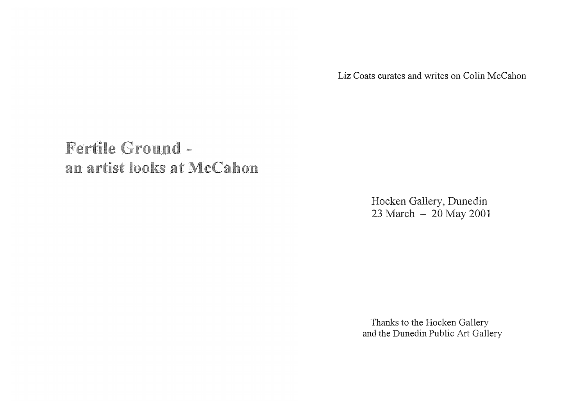Liz Coats curates and writes on Colin McCahon

# Fertile Ground an artist looks at McCahon

Hocken Gallery, Dunedin 23 March - 20 May 2001

Thanks to the Hocken Gallery and the Dunedin Public Art Gallery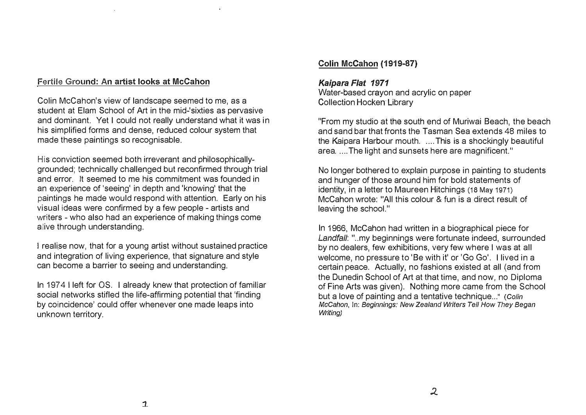#### **Fertile Ground: An artist looks at McCahon**

Colin McCahon's view of landscape seemed to me, as a student at Elam School of Art in the mid-'sixties as pervasive and dominant. Yet I could not really understand what it was in his simplified forms and dense, reduced colour system that made these paintings so recognisable.

His conviction seemed both irreverant and philosophicallygrounded; technically challenged but reconfirmed through trial and error. It seemed to me his commitment was founded in an experience of 'seeing' in depth and 'knowing' that the paintings he made would respond with attention. Early on his visual ideas were confirmed by a few people - artists and writers - who also had an experience of making things come alive through understanding.

**!** realise now, that for a young artist without sustained practice and integration of living experience, that signature and style can become a barrier to seeing and understanding.

In 197 4 I left for OS. I already knew that protection of familiar social networks stifled the life-affirming potential that 'finding by coincidence' could offer whenever one made leaps into unknown territory.

#### **Colin McCahon (1919-87)**

#### *Kaipara Flat 1971*

Water-based crayon and acrylic on paper Collection Hocken Library

"From my studio at the south end of Muriwai Beach, the beach and sand bar that fronts the Tasman Sea extends 48 miles to the Kaipara Harbour mouth. .... This is a shockingly beautiful area ..... The light and sunsets here are magnificent."

No longer bothered to explain purpose in painting to students and hunger of those around him for bold statements of identity, in a letter to Maureen Hitchings (18 May 1971) McCahon wrote: "All this colour & fun is a direct result of leaving the school."

In 1966, McCahon had written in a biographical piece for Landfall: "..my beginnings were fortunate indeed, surrounded by no dealers, few exhibitions, very few where I was at all welcome, no pressure to 'Be with it' or 'Go Go'. I lived in a certain peace. Actually, no fashions existed at all (and from the Dunedin School of Art at that time, and now, no Diploma of Fine Arts was given). Nothing more came from the School but a love of painting and a tentative technique ... " *(Colin McCahon,* In: *Beginnings: New Zealand Writers Tell How They Began Writing)*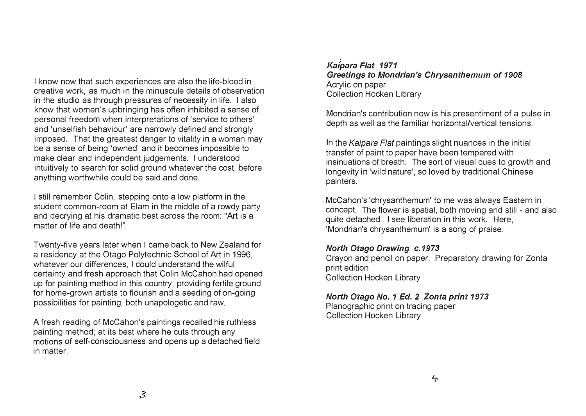I know now that such experiences are also the life-blood in creative work, as much in the minuscule details of observation in the studio as through pressures of necessity in life. I also know that women's upbringing has often inhibited a sense of personal freedom when interpretations of 'service to others' and 'unselfish behaviour' are narrowly defined and strongly imposed. That the greatest danger to vitality in a woman may be a sense of being 'owned' and it becomes impossible to make clear and independent judgements. I understood intuitively to search for solid ground whatever the cost, before anything worthwhile could be said and done.

I still remember Colin, stepping onto a low platform in the student common-room at Elam in the middle of a rowdy party and decrying at his dramatic best across the room: "Art is a matter of life and death!"

Twenty-five years later when I came back to New Zealand for a residency at the Otago Polytechnic School of Art in 1996, whatever our differences, I could understand the wilful certainty and fresh approach that Colin McCahon had opened up for painting method in this country, providing fertile ground for home-grown artists to flourish and a seeding of on-going possibilities for painting, both unapologetic and raw.

A fresh reading of McCahon's paintings recalled his ruthless painting method; at its best where he cuts through any motions of self-consciousness and opens up a detached field in matter.

*Kaipara Flat 1971 Greetings* to *Mondrian's Chrysanthemum* of *1908*  Acrylic on paper **Collection Hocken Library** 

Mondrian's contribution now is his presentiment of a pulse in depth as well as the familiar horizontal/vertical tensions.

In the *Kaipara Flat* paintings slight nuances in the initial transfer of paint to paper have been tempered with insinuations of breath. The sort of visual cues to growth and longevity in 'wild nature', so loved by traditional Chinese painters.

McCahon's 'chrysanthemum' to me was always Eastern in concept. The flower is spatial, both moving and still - and also quite detached. I see liberation in this work. Here, 'Mondrian's chrysanthemum' is a song of praise.

### *North Otago Drawing c.1973*

Crayon and pencil on paper. Preparatory drawing for Zonta print edition **Collection Hocken Library** 

*North Otago* No. *1 Ed. 2 Zonta print 1973*  Planographic print on tracing paper **Collection Hocken Library**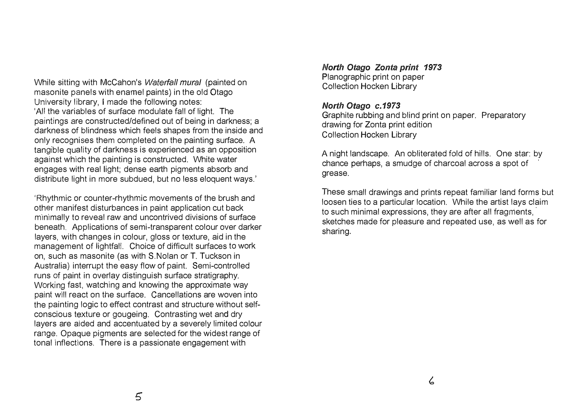While sitting with McCahon's *Waterfall mural* (painted on masonite panels with enamel paints) in the old Otago \_ University library, I made the following notes: 'All the variables of surface modulate fall of light. The paintings are constructed/defined out of being in darkness· a darkness of blindness which feels shapes from the inside and only recognises them completed on the painting surface. A \_ tangible quality of darkness is experienced as an opposition .<br>. against which the painting is constructed. White water engages with real light; dense earth pigments absorb and distribute light in more subdued, but no less eloquent ways.'

'Rhythmic or counter-rhythmic movements of the brush and ot h�r manifest disturbances in paint application cut back \_ minimally to reveal raw and uncontrived divisions of surface beneath. Applications of semi-transparent colour over darker layers, with changes in colour, gloss or texture, aid in the management of lightfal!. Choice of difficult surfaces to work on, such as masonite (as with S.Nolan or T. Tuckson in Australia) interrupt the easy flow of paint. Semi-controlled runs of paint in overlay distinguish surface stratigraphy. \_ Working fast, watching and knowing the approximate way paint will react on the surface. Cancellations are woven into the painting logic to effect contrast and structure without selfconscious t�xture or gougeing. Contrasting wet and dry layers are aided and accentuated by a severely limited colour range. Opaque pigments are selected for the widest range of tonal inflections. There is a passionate engagement with

*North Otago Zonta print 1973*  Planographic print on paper Collection Hocken Library

#### *North Otago c. 1973*

Graphite rubbing and blind print on paper. Preparatory drawing for Zonta print edition **Collection Hocken Library** 

A night landscape. An obliterated fold of hills. One star: by chance perhaps, a smudge of charcoal across a spot of grease.

These small drawings and prints repeat familiar land forms but loosen ties to a particular location. While the artist lays claim to such minimal expressions, they are after all fragments, sketches made for pleasure and repeated use, as well as for sharing.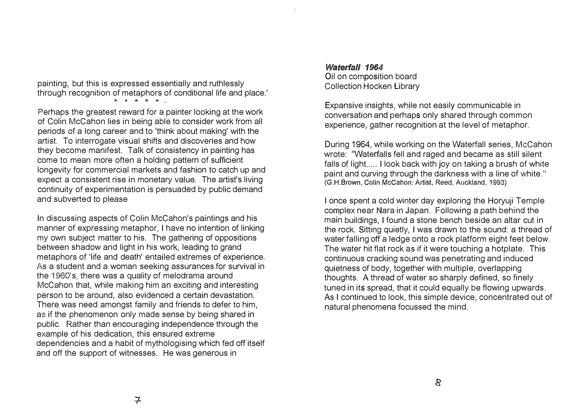painting, but this is expressed essentially and ruthlessly through recognition of metaphors of conditional life and place.'

\* \* \* \* \*

Perhaps the greatest reward for a painter looking at the work of Colin McCahon lies in being able to consider work from all periods of a long career and to 'think about making' with the artist. To interrogate visual shifts and discoveries and how they become manifest. Talk of consistency in painting has come to mean more often a holding pattern of sufficient longevity for commercial markets and fashion to catch up and expect a consistent rise in monetary value. The artist's living continuity of experimentation is persuaded by public demand and subverted to please

In discussing aspects of Colin McCahon's paintings and his manner of expressing metaphor, I have no intention of linking my own subject matter to his. The gathering of oppositions between shadow and light in his work, leading to grand metaphors of 'life and death' entailed extremes of experience. As a student and a woman seeking assurances for survival in the 1960's, there was a quality of melodrama around McCahon that, while making him an exciting and interesting person to be around, also evidenced a certain devastation. There was need amongst family and friends to defer to him, as if the phenomenon only made sense by being shared in public. Rather than encouraging independence through the example of his dedication, this ensured extreme dependencies and a habit of mythologising which fed off itself and off the support of witnesses. He was generous in

#### *Waterfall 1964*

Oil on composition board Collection Hocken Library

Expansive insights, while not easily communicable in conversation and perhaps only shared through common experience, gather reco gnition at the level of metaphor. .<br>.

During 1964, while working on the Waterfall series, McCahon wrote: "Waterfalls fell and raged and became as still silent falls of light..... I look back with joy on taking a brush of white paint and curving through the darkness with a line of White." (G.H.Brown, Colin McCahon: Artist, Reed, Auckland, 1993)

I once spent a cold winter day exploring the Horyuji Temple complex near Nara in Japan. Following a path behind the main buildings, I found a stone bench beside an altar cut in the rock. Sitting quietly, I was drawn to the sound: a thread of water falling off a ledge onto a rock platform eight feet below. The water hit flat rock as if it were touching a hotplate. This continuous cracking sound was penetrating and induced quietness of body, together with multiple, overlapping thoughts. A thread of water so sharply defined, so finely tuned in its spread, that it could equally be flowing upwards. As I continued to look, this simple device, concentrated out of natural phenomena focussed the mind.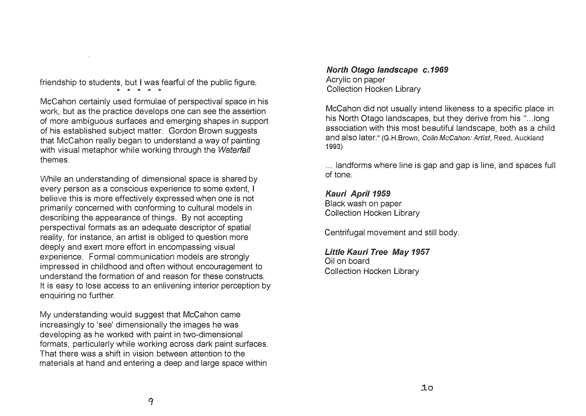friendship to students, but I was fearful of the public figure.

\* \* \* \* \*

McCahon certainly used formulae of perspectival space in his work, but as the practice develops one can see the assertion of more ambiguous surfaces and emerging shapes in support of his established subject matter. Gordon Brown suggests that McCahon really began to understand a way of painting with visual metaphor while working through the *Waterfall*  themes.

While an understanding of dimensional space is shared by every person as a conscious experience to some extent, I believe this is more effectively expressed when one is not primarily concerned with conforming to cultural models in de�scribing the appearance of things. By not accepting perspectival formats as an adequate descriptor of spatial reality, for instance, an artist is obliged to question more deeply and exert more effort in encompassing visual experience. Formal communication models are strongly impressed in childhood and often without encouragement to understand the formation of and reason for these constructs. It is easy to lose access to an enlivening interior perception by enquiring no further.

My understanding would suggest that McCahon came increasingly to 'see' dimensionally the images he was developing as he worked with paint in two-dimensional formats, particularly while working across dark paint surfaces. That there was a shift in vision between attention to the materials at hand and entering a deep and large space within

*North Otago landscape c. 1969*  Acrylic on paper **Collection Hocken Library** 

McCahon did not usually intend likeness to a specific place in his North Otago landscapes, but they derive from his "...long association with this most beautiful landscape, both as a child and also later." (G.H.Brown, *Colin McCahon: Artist,* Reed, Auckland 1993)

... landforms where line is gap and gap is line, and spaces full of tone.

*Kauri April 1959*  Black wash on paper **Collection Hocken Library** 

Centrifugal movement and still body.

*Little Kauri Tree May 1957*  Oil on board **Collection Hocken Library**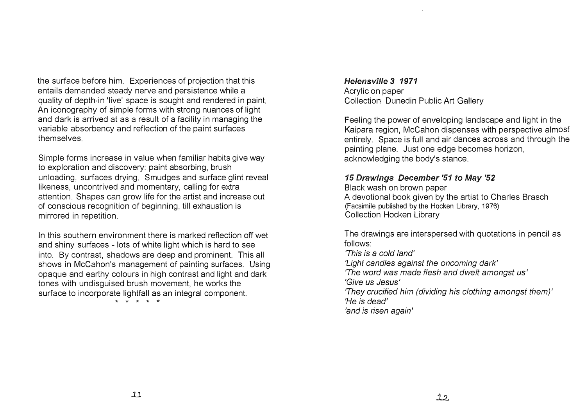the surface before him. Experiences of projection that this entails demanded steady nerve and persistence while a quality of depth in 'live' space is sought and rendered in paint. An iconography of simple forms with strong nuances of light and dark is arrived at as a result of a facility in managing the variable absorbency and reflection of the paint surfaces themselves.

Simple forms increase in value when familiar habits give way to exploration and discovery: paint absorbing, brush unloading, surfaces drying. Smudges and surface glint reveal likeness, uncontrived and momentary, calling for extra attention. Shapes can grow life for the artist and increase out of conscious recognition of beginning, till exhaustion is mirrored in repetition.

In this southern environment there is marked reflection off wet and shiny surfaces - lots of white light which is hard to see into. By contrast, shadows are deep and prominent. This all shows in McCahon's management of painting surfaces. Using opaque and earthy colours in high contrast and light and dark tones with undisguised brush movement, he works the surface to incorporate lightfall as an integral component.

\* \* \* \* \*

*Helensvi/le 3 1971*  Acrylic on paper Collection Dunedin Public Art Gallery

Feeling the power of enveloping landscape and light in the Kaipara region, McCahon dispenses with perspective almost entirely. Space is full and air dances across and through the painting plane. Just one edge becomes horizon, acknowledging the body's stance.

## *15 Drawings December '51 to May '52*

Black wash on brown paper A devotional book given by the artist to Charles Brasch (Facsimile published by the Hocken Library, 1976) **Collection Hocken Library** 

The drawings are interspersed with quotations in pencil as follows:

*'This is* a *cold land' 'Light candles against the oncoming dark' 'The word was made flesh and dwelt amongst* us' *'Give us* Jesus' *'They crucified him (dividing his clothing amongst them)' 'He* is *dead' 'and* is *risen again'*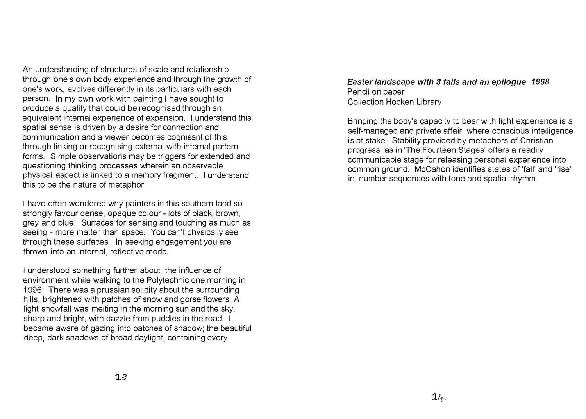An understanding of structures of scale and relationship through one's own body experience and through the growth of one's work, evolves differently in its particulars with each person. In my own work with painting I have sought to produce a quality that could be recognised through an equivalent internal experience of expansion. I understand this spatial sense is driven by a desire for connection and communication and a viewer becomes cognisant of this through linking or recognising external with internal pattern forms. Simple observations may be triggers for extended and questioning thinking processes wherein an observable physical aspect is linked to a memory fragment. I understand this to be the nature of metaphor.

I have often wondered why painters in this southern land so strongly favour dense, opaque colour - lots of black, brown, grey and blue. Surfaces for sensing and touching as much as seeing - more matter than space. You can't physically see through these surfaces. In seeking engagement you are thrown into an internal, reflective mode.

I understood something further about the influence of environment while walking to the Polytechnic one morning in 1996. There was a prussian solidity about the surrounding hills, brightened with patches of snow and gorse flowers. A light snowfall was melting in the morning sun and the sky, sharp and bright, with dazzle from puddles in the road. I became aware of gazing into patches of shadow; the beautiful deep, dark shadows of broad daylight, containing every

*Easter landscape with 3 falls and an epilogue 1968*  Pencil on paper **Collection Hocken Library** 

 $14$ 

Bringing the body's capacity to bear with light experience is a self-managed and private affair, where conscious intelligence is at stake. Stability provided by metaphors of Christian progress, as in The Fourteen Stages' offers a readily communicable stage for releasing personal experience into common ground. McCahon identifies states of <sup>1</sup> fall' and 'rise' in number sequences with tone and spatial rhythm.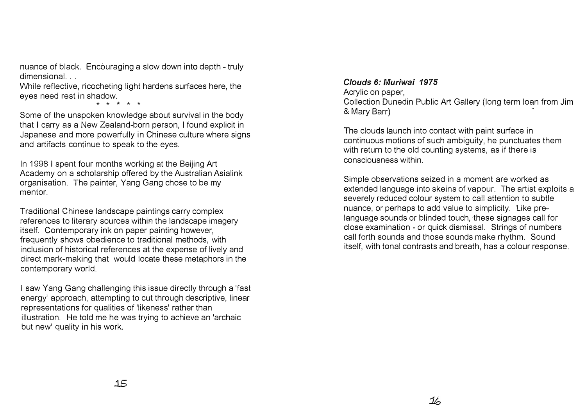nuance of black. Encouraging a slow down into depth - truly dimensional. ..

While reflective, ricocheting light hardens surfaces here, the eyes need rest in shadow.

\* \* \* \* \*

Some of the unspoken knowledge about survival in the body that I carry as a New Zealand-born person, I found explicit in Japanese and more powerfully in Chinese culture where signs and artifacts continue to speak to the eyes.

In 1998 I spent four months working at the Beijing Art Academy on a scholarship offered by the Australian Asialink organisation. The painter, Yang Gang chose to be niy mentor.

Traditional Chinese landscape paintings carry complex references to literary sources within the landscape imagery itself. Contemporary ink on paper painting however, frequently shows obedience to traditional methods, with inclusion of historical references at the expense of lively and direct mark-making that would locate these metaphors in the contemporary world.

I saw Yang Gang challenging this issue directly through a 'fast energy' approach, attempting to cut through descriptive, linear representations for qualities of 'likeness' rather than illustration. He told me he was trying to achieve an 'archaic but new' quality in his work.

*Clouds 6: Muriwai 1975*  Acrylic on paper, Collection Dunedin Public Art Gallery (long term loan from Jim & Mary Barr)

The clouds launch into contact with paint surface in continuous motions of such ambiguity, he punctuates them with return to the old counting systems, as if there is consciousness within.

Simple observations seized in a moment are worked as extended language into skeins of vapour. The artist exploits a severely reduced colour system to call attention to subtle nuance, or perhaps to add value to simplicity. Like prelanguage sounds or blinded touch, these signages call for close examination - or quick dismissal. Strings of numbers call forth sounds and those sounds make rhythm. Sound itself, with tonal contrasts and breath, has a colour response.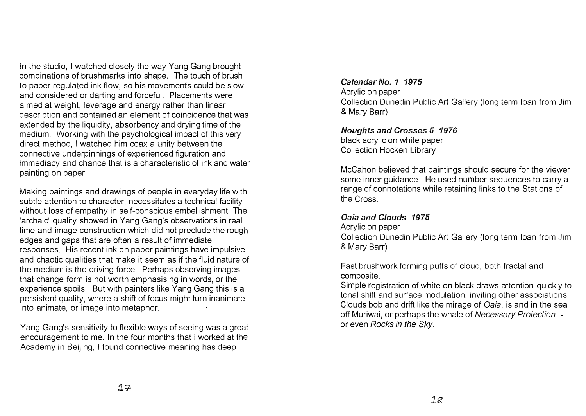In the studio, I watched closely the way Yang Gang brought combinations of brushmarks into shape. The touch of brush to paper regulated ink flow, so his movements could be slow and considered or darting and forceful. Placements were aimed at weight, leverage and energy rather than linear description and contained an element of coincidence that was extended by the liquidity, absorbency and drying time of the medium. Working with the psychological impact of this very direct method, I watched him coax a unity between the connective underpinnings of experienced figuration and immediacy and chance that is a characteristic of ink and water painting on paper.

Making paintings and drawings of people in everyday life with subtle attention to character, necessitates a technical facility without loss of empathy in self-conscious embellishment. The 'archaic' quality showed in Yang Gang's observations in real time and image construction which did not preclude the rough edges and gaps that are often a result of immediate responses. His recent ink on paper paintings have impulsive and chaotic qualities that make it seem as if the fluid nature of the medium is the driving force. Perhaps observing images that change form is not worth emphasising in words, or the experience spoils. But with painters like Yang Gang this is a persistent quality, where a shift of focus might turn inanimate into animate, or image into metaphor.

Yang Gang's sensitivity to flexible ways of seeing was a great encouragement to me. In the four months that I worked at the Academy in Beijing, I found connective meaning has deep

*Calendar* No. *1 1975*  Acrylic on paper Collection Dunedin Public Art Gallery (long term loan from Jim & Mary Barr)

*Noughts and Crosses 5 1976*  black acrylic on white paper Collection Hocken Library

McCahon believed that paintings should secure for the viewer some inner guidance. He used number sequences to carry a range of connotations while retaining links to the Stations of the Cross.

# *Oaia and Clouds 1975*

Acrylic on paper

Collection Dunedin Public Art Gallery (long term loan from Jim & Mary Barr)

Fast brushwork forming puffs of cloud, both fractal and composite.

Simple registration of white on black draws attention quickly to tonal shift and surface modulation, inviting other associations. Clouds bob and drift like the mirage of *Oaia,* island in the sea off Muriwai, or perhaps the whale of *Necessary Protection*  or even *Rocks in the Sky.*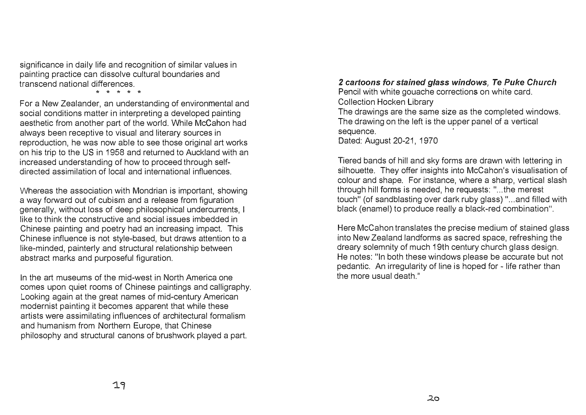significance in daily life and recognition of similar values in painting practice can dissolve cultural boundaries and transcend national differences.

\* \* \* \* \*

For a New Zealander, an understanding of environmental and social conditions matter in interpreting a developed painting aesthetic from another part of the world. While McCahon had always been receptive to visual and literary sources in reproduction, he was now able to see those original art works on his trip to the US in 1958 and returned to Auckland with an increased understanding of how to proceed through selfdirected assimilation of local and international influences.

Whereas the association with Mondrian is important, showing a way forward out of cubism and a release from figuration generally, without loss of deep philosophical undercurrents, I like to think the constructive and social issues imbedded in Chinese painting and poetry had an increasing impact. This Chinese influence is not style-based, but draws attention to a like-minded, painterly and structural relationship between abstract marks and purposeful figuration.

In the art museums of the mid-west in North America one comes upon quiet rooms of Chinese paintings and calligraphy. Looking again at the great names of mid-century American modernist painting it becomes apparent that while these artists were assimilating influences of architectural formalism and humanism from Northern Europe, that Chinese philosophy and structural canons of brushwork played a part.

# *2 cartoons for stained glass windows, Te Puke Church*

Pencil with white gouache corrections on white card. **Collection Hocken Library** The drawings are the same size as the completed windows. The drawing on the left is the upper panel of a vertical sequence. Dated: August 20-21, 1970

Tiered bands of hill and sky forms are drawn with lettering in silhouette. They offer insights into McCahon's visualisation of colour and shape. For instance, where a sharp, vertical slash through hill forms is needed, he requests: " ... the merest touch" (of sandblasting over dark ruby glass) " ... and filled with black (enamel) to produce really a black-red combination".

�ere McCahon translates the precise medium of stained glass into New Zealand landforms as sacred space, refreshing the dreary solemnity of much 19th century church glass design. He notes: "In both these windows please be accurate but not pedantic. An irregularity of line is hoped for - life rather than the more usual death."